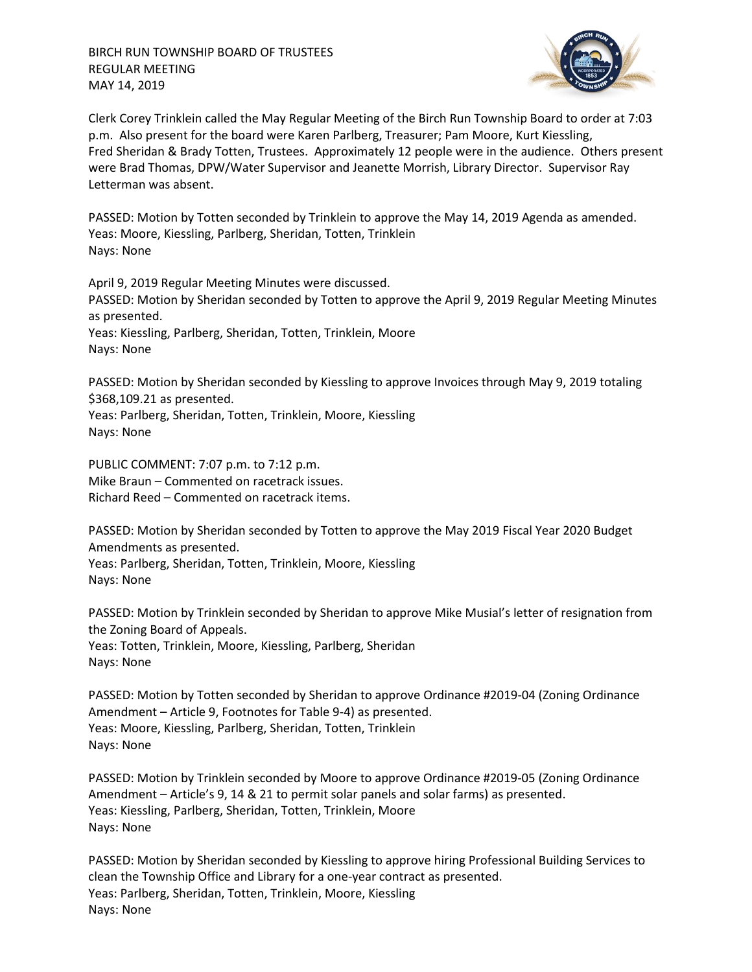

Clerk Corey Trinklein called the May Regular Meeting of the Birch Run Township Board to order at 7:03 p.m. Also present for the board were Karen Parlberg, Treasurer; Pam Moore, Kurt Kiessling, Fred Sheridan & Brady Totten, Trustees. Approximately 12 people were in the audience. Others present were Brad Thomas, DPW/Water Supervisor and Jeanette Morrish, Library Director. Supervisor Ray Letterman was absent.

PASSED: Motion by Totten seconded by Trinklein to approve the May 14, 2019 Agenda as amended. Yeas: Moore, Kiessling, Parlberg, Sheridan, Totten, Trinklein Nays: None

April 9, 2019 Regular Meeting Minutes were discussed. PASSED: Motion by Sheridan seconded by Totten to approve the April 9, 2019 Regular Meeting Minutes as presented. Yeas: Kiessling, Parlberg, Sheridan, Totten, Trinklein, Moore Nays: None

PASSED: Motion by Sheridan seconded by Kiessling to approve Invoices through May 9, 2019 totaling \$368,109.21 as presented. Yeas: Parlberg, Sheridan, Totten, Trinklein, Moore, Kiessling Nays: None

PUBLIC COMMENT: 7:07 p.m. to 7:12 p.m. Mike Braun – Commented on racetrack issues. Richard Reed – Commented on racetrack items.

PASSED: Motion by Sheridan seconded by Totten to approve the May 2019 Fiscal Year 2020 Budget Amendments as presented. Yeas: Parlberg, Sheridan, Totten, Trinklein, Moore, Kiessling Nays: None

PASSED: Motion by Trinklein seconded by Sheridan to approve Mike Musial's letter of resignation from the Zoning Board of Appeals. Yeas: Totten, Trinklein, Moore, Kiessling, Parlberg, Sheridan Nays: None

PASSED: Motion by Totten seconded by Sheridan to approve Ordinance #2019-04 (Zoning Ordinance Amendment – Article 9, Footnotes for Table 9-4) as presented. Yeas: Moore, Kiessling, Parlberg, Sheridan, Totten, Trinklein Nays: None

PASSED: Motion by Trinklein seconded by Moore to approve Ordinance #2019-05 (Zoning Ordinance Amendment – Article's 9, 14 & 21 to permit solar panels and solar farms) as presented. Yeas: Kiessling, Parlberg, Sheridan, Totten, Trinklein, Moore Nays: None

PASSED: Motion by Sheridan seconded by Kiessling to approve hiring Professional Building Services to clean the Township Office and Library for a one-year contract as presented. Yeas: Parlberg, Sheridan, Totten, Trinklein, Moore, Kiessling Nays: None